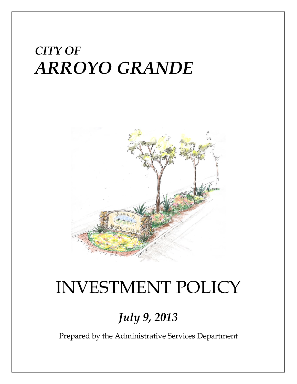# *CITY OF ARROYO GRANDE*



# INVESTMENT POLICY

## *July 9, 2013*

Prepared by the Administrative Services Department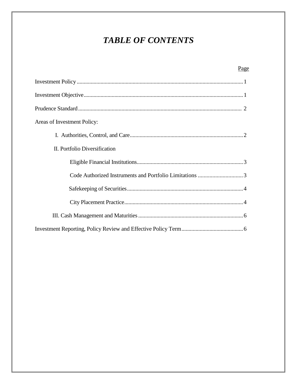### *TABLE OF CONTENTS*

| Page                          |
|-------------------------------|
|                               |
|                               |
|                               |
| Areas of Investment Policy:   |
|                               |
| II. Portfolio Diversification |
|                               |
|                               |
|                               |
|                               |
|                               |
|                               |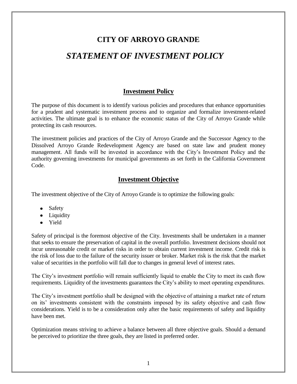## **CITY OF ARROYO GRANDE** *STATEMENT OF INVESTMENT POLICY*

#### **Investment Policy**

The purpose of this document is to identify various policies and procedures that enhance opportunities for a prudent and systematic investment process and to organize and formalize investment-related activities. The ultimate goal is to enhance the economic status of the City of Arroyo Grande while protecting its cash resources.

The investment policies and practices of the City of Arroyo Grande and the Successor Agency to the Dissolved Arroyo Grande Redevelopment Agency are based on state law and prudent money management. All funds will be invested in accordance with the City's Investment Policy and the authority governing investments for municipal governments as set forth in the California Government Code.

#### **Investment Objective**

The investment objective of the City of Arroyo Grande is to optimize the following goals:

- Safety
- Liquidity
- Yield

Safety of principal is the foremost objective of the City. Investments shall be undertaken in a manner that seeks to ensure the preservation of capital in the overall portfolio. Investment decisions should not incur unreasonable credit or market risks in order to obtain current investment income. Credit risk is the risk of loss due to the failure of the security issuer or broker. Market risk is the risk that the market value of securities in the portfolio will fall due to changes in general level of interest rates.

The City's investment portfolio will remain sufficiently liquid to enable the City to meet its cash flow requirements. Liquidity of the investments guarantees the City's ability to meet operating expenditures.

The City's investment portfolio shall be designed with the objective of attaining a market rate of return on its' investments consistent with the constraints imposed by its safety objective and cash flow considerations. Yield is to be a consideration only after the basic requirements of safety and liquidity have been met.

Optimization means striving to achieve a balance between all three objective goals. Should a demand be perceived to prioritize the three goals, they are listed in preferred order.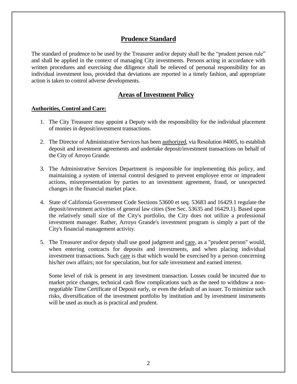#### **Prudence Standard**

The standard of prudence to be used by the Treasurer and/or deputy shall be the "prudent person rule" and shall be applied in the context of managing City investments. Persons acting in accordance with written procedures and exercising due diligence shall be relieved of personal responsibility for an individual investment loss, provided that deviations are reported in a timely fashion, and appropriate action is taken to control adverse developments.

#### **Areas of Investment Policy**

#### **Authorities, Control and Care:**

- 1. The City Treasurer may appoint a Deputy with the responsibility for the individual placement of monies in deposit/investment transactions.
- 2. The Director of Administrative Services has been authorized, via Resolution #4005, to establish deposit and investment agreements and undertake deposit/investment transactions on behalf of the City of Arroyo Grande.
- 3. The Administrative Services Department is responsible for implementing this policy, and maintaining a system of internal control designed to prevent employee error or imprudent actions, misrepresentation by parties to an investment agreement, fraud, or unexpected changes in the financial market place.
- 4. State of California Government Code Sections 53600 et seq. 53683 and 16429.1 regulate the deposit/investment activities of general law cities (See Sec. 53635 and 16429.1). Based upon the relatively small size of the City's portfolio, the City does not utilize a professional investment manager. Rather, Arroyo Grande's investment program is simply a part of the City's financial management activity.
- 5. The Treasurer and/or deputy shall use good judgment and care, as a "prudent person" would, when entering contracts for deposits and investments, and when placing individual investment transactions. Such care is that which would be exercised by a person concerning his/her own affairs; not for speculation, but for safe investment and earned interest.

Some level of risk is present in any investment transaction. Losses could be incurred due to market price changes, technical cash flow complications such as the need to withdraw a nonnegotiable Time Certificate of Deposit early, or even the default of an issuer. To minimize such risks, diversification of the investment portfolio by institution and by investment instruments will be used as much as is practical and prudent.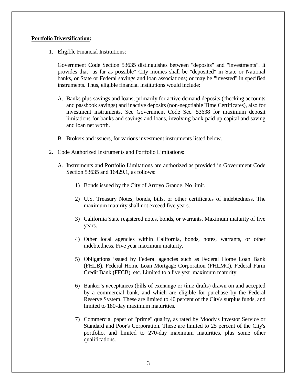#### **Portfolio Diversification:**

1. Eligible Financial Institutions:

Government Code Section 53635 distinguishes between "deposits" and "investments". It provides that "as far as possible" City monies shall be "deposited" in State or National banks, or State or Federal savings and loan associations; or may be "invested" in specified instruments. Thus, eligible financial institutions would include:

- A. Banks plus savings and loans, primarily for active demand deposits (checking accounts and passbook savings) and inactive deposits (non-negotiable Time Certificates), also for investment instruments. See Government Code Sec. 53638 for maximum deposit limitations for banks and savings and loans, involving bank paid up capital and saving and loan net worth.
- B. Brokers and issuers, for various investment instruments listed below.
- 2. Code Authorized Instruments and Portfolio Limitations:
	- A. Instruments and Portfolio Limitations are authorized as provided in Government Code Section 53635 and 16429.1, as follows:
		- 1) Bonds issued by the City of Arroyo Grande. No limit.
		- 2) U.S. Treasury Notes, bonds, bills, or other certificates of indebtedness. The maximum maturity shall not exceed five years.
		- 3) California State registered notes, bonds, or warrants. Maximum maturity of five years.
		- 4) Other local agencies within California, bonds, notes, warrants, or other indebtedness. Five year maximum maturity.
		- 5) Obligations issued by Federal agencies such as Federal Home Loan Bank (FHLB), Federal Home Loan Mortgage Corporation (FHLMC), Federal Farm Credit Bank (FFCB), etc. Limited to a five year maximum maturity.
		- 6) Banker's acceptances (bills of exchange or time drafts) drawn on and accepted by a commercial bank, and which are eligible for purchase by the Federal Reserve System. These are limited to 40 percent of the City's surplus funds, and limited to 180-day maximum maturities.
		- 7) Commercial paper of "prime" quality, as rated by Moody's Investor Service or Standard and Poor's Corporation. These are limited to 25 percent of the City's portfolio, and limited to 270-day maximum maturities, plus some other qualifications.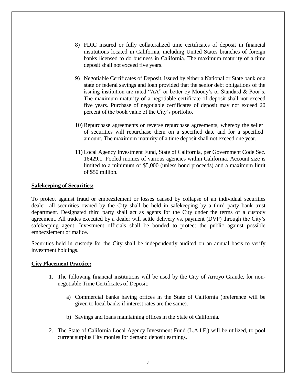- 8) FDIC insured or fully collateralized time certificates of deposit in financial institutions located in California, including United States branches of foreign banks licensed to do business in California. The maximum maturity of a time deposit shall not exceed five years.
- 9) Negotiable Certificates of Deposit, issued by either a National or State bank or a state or federal savings and loan provided that the senior debt obligations of the issuing institution are rated "AA" or better by Moody's or Standard & Poor's. The maximum maturity of a negotiable certificate of deposit shall not exceed five years. Purchase of negotiable certificates of deposit may not exceed 20 percent of the book value of the City's portfolio.
- 10) Repurchase agreements or reverse repurchase agreements, whereby the seller of securities will repurchase them on a specified date and for a specified amount. The maximum maturity of a time deposit shall not exceed one year.
- 11) Local Agency Investment Fund, State of California, per Government Code Sec. 16429.1. Pooled monies of various agencies within California. Account size is limited to a minimum of \$5,000 (unless bond proceeds) and a maximum limit of \$50 million.

#### **Safekeeping of Securities:**

To protect against fraud or embezzlement or losses caused by collapse of an individual securities dealer, all securities owned by the City shall be held in safekeeping by a third party bank trust department. Designated third party shall act as agents for the City under the terms of a custody agreement. All trades executed by a dealer will settle delivery vs. payment (DVP) through the City's safekeeping agent. Investment officials shall be bonded to protect the public against possible embezzlement or malice.

Securities held in custody for the City shall be independently audited on an annual basis to verify investment holdings.

#### **City Placement Practice:**

- 1. The following financial institutions will be used by the City of Arroyo Grande, for nonnegotiable Time Certificates of Deposit:
	- a) Commercial banks having offices in the State of California (preference will be given to local banks if interest rates are the same).
	- b) Savings and loans maintaining offices in the State of California.
- 2. The State of California Local Agency Investment Fund (L.A.I.F.) will be utilized, to pool current surplus City monies for demand deposit earnings.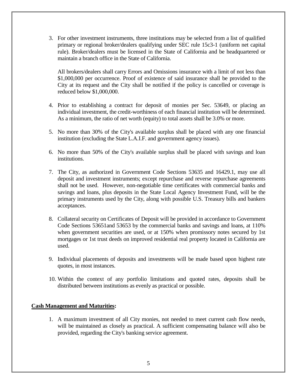3. For other investment instruments, three institutions may be selected from a list of qualified primary or regional broker/dealers qualifying under SEC rule 15c3-1 (uniform net capital rule). Broker/dealers must be licensed in the State of California and be headquartered or maintain a branch office in the State of California.

All brokers/dealers shall carry Errors and Omissions insurance with a limit of not less than \$1,000,000 per occurrence. Proof of existence of said insurance shall be provided to the City at its request and the City shall be notified if the policy is cancelled or coverage is reduced below \$1,000,000.

- 4. Prior to establishing a contract for deposit of monies per Sec. 53649, or placing an individual investment, the credit-worthiness of each financial institution will be determined. As a minimum, the ratio of net worth (equity) to total assets shall be 3.0% or more.
- 5. No more than 30% of the City's available surplus shall be placed with any one financial institution (excluding the State L.A.I.F. and government agency issues).
- 6. No more than 50% of the City's available surplus shall be placed with savings and loan institutions.
- 7. The City, as authorized in Government Code Sections 53635 and 16429.1, may use all deposit and investment instruments; except repurchase and reverse repurchase agreements shall not be used. However, non-negotiable time certificates with commercial banks and savings and loans, plus deposits in the State Local Agency Investment Fund, will be the primary instruments used by the City, along with possible U.S. Treasury bills and bankers acceptances.
- 8. Collateral security on Certificates of Deposit will be provided in accordance to Government Code Sections 53651and 53653 by the commercial banks and savings and loans, at 110% when government securities are used, or at 150% when promissory notes secured by 1st mortgages or 1st trust deeds on improved residential real property located in California are used.
- 9. Individual placements of deposits and investments will be made based upon highest rate quotes, in most instances.
- 10. Within the context of any portfolio limitations and quoted rates, deposits shall be distributed between institutions as evenly as practical or possible.

#### **Cash Management and Maturities:**

1. A maximum investment of all City monies, not needed to meet current cash flow needs, will be maintained as closely as practical. A sufficient compensating balance will also be provided, regarding the City's banking service agreement.